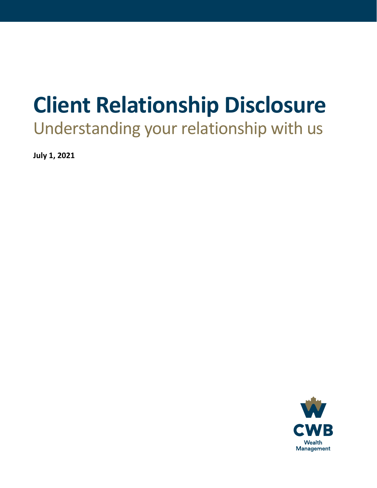# **Client Relationship Disclosure**

Understanding your relationship with us

**July 1, 2021**

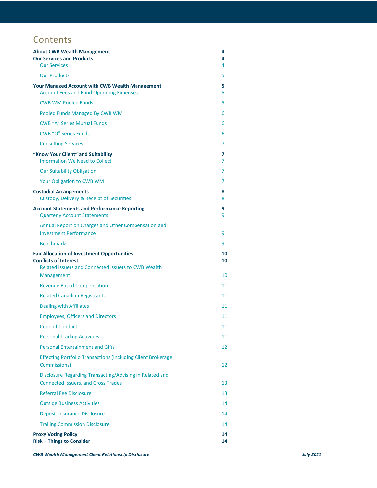# **Contents**

| <b>About CWB Wealth Management</b><br><b>Our Services and Products</b><br><b>Our Services</b>                                                    | 4<br>4<br>4 |
|--------------------------------------------------------------------------------------------------------------------------------------------------|-------------|
| <b>Our Products</b>                                                                                                                              | 5           |
| <b>Your Managed Account with CWB Wealth Management</b><br><b>Account Fees and Fund Operating Expenses</b>                                        | 5<br>5      |
| <b>CWB WM Pooled Funds</b>                                                                                                                       | 5           |
| Pooled Funds Managed By CWB WM                                                                                                                   | 6           |
| <b>CWB "A" Series Mutual Funds</b>                                                                                                               | 6           |
| <b>CWB "O" Series Funds</b>                                                                                                                      | 6           |
| <b>Consulting Services</b>                                                                                                                       | 7           |
| "Know Your Client" and Suitability<br>Information We Need to Collect                                                                             | 7<br>7      |
| <b>Our Suitability Obligation</b>                                                                                                                | 7           |
| Your Obligation to CWB WM                                                                                                                        | 7           |
| <b>Custodial Arrangements</b><br>Custody, Delivery & Receipt of Securities                                                                       | 8<br>8      |
| <b>Account Statements and Performance Reporting</b><br><b>Quarterly Account Statements</b>                                                       | 9<br>9      |
| Annual Report on Charges and Other Compensation and<br><b>Investment Performance</b>                                                             | 9           |
| <b>Benchmarks</b>                                                                                                                                | 9           |
|                                                                                                                                                  |             |
| <b>Fair Allocation of Investment Opportunities</b><br><b>Conflicts of Interest</b><br><b>Related Issuers and Connected Issuers to CWB Wealth</b> | 10<br>10    |
| Management                                                                                                                                       | 10          |
| <b>Revenue Based Compensation</b>                                                                                                                | 11          |
| <b>Related Canadian Registrants</b>                                                                                                              | 11          |
| <b>Dealing with Affiliates</b>                                                                                                                   | 11          |
| <b>Employees, Officers and Directors</b>                                                                                                         | 11          |
| <b>Code of Conduct</b>                                                                                                                           | 11          |
| <b>Personal Trading Activities</b>                                                                                                               | 11          |
| <b>Personal Entertainment and Gifts</b>                                                                                                          | 12          |
| <b>Effecting Portfolio Transactions (including Client Brokerage</b><br>Commissions)                                                              | 12          |
| Disclosure Regarding Transacting/Advising in Related and<br><b>Connected Issuers, and Cross Trades</b>                                           | 13          |
| <b>Referral Fee Disclosure</b>                                                                                                                   | 13          |
| <b>Outside Business Activities</b>                                                                                                               | 14          |
| <b>Deposit Insurance Disclosure</b>                                                                                                              | 14          |
| <b>Trailing Commission Disclosure</b>                                                                                                            | 14          |

*CWB Wealth Management Client Relationship Disclosure July 2021*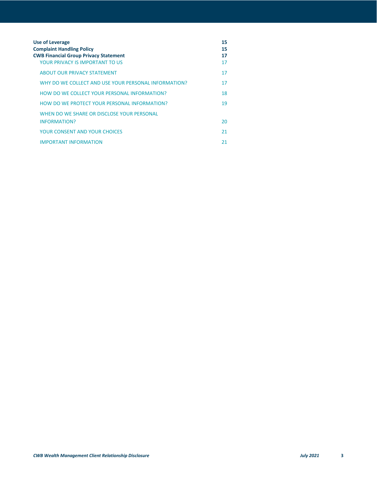| <b>Use of Leverage</b><br><b>Complaint Handling Policy</b><br><b>CWB Financial Group Privacy Statement</b><br>YOUR PRIVACY IS IMPORTANT TO US | 15<br>15<br>17<br>17 |
|-----------------------------------------------------------------------------------------------------------------------------------------------|----------------------|
| <b>ABOUT OUR PRIVACY STATEMENT</b>                                                                                                            | 17                   |
| WHY DO WE COLLECT AND USE YOUR PERSONAL INFORMATION?                                                                                          | 17                   |
| HOW DO WE COLLECT YOUR PERSONAL INFORMATION?                                                                                                  | 18                   |
| HOW DO WE PROTECT YOUR PERSONAL INFORMATION?                                                                                                  | 19                   |
| WHEN DO WE SHARE OR DISCLOSE YOUR PERSONAL<br><b>INFORMATION?</b>                                                                             | 20                   |
| <b>YOUR CONSENT AND YOUR CHOICES</b>                                                                                                          | 21                   |
| <b>IMPORTANT INFORMATION</b>                                                                                                                  | 21                   |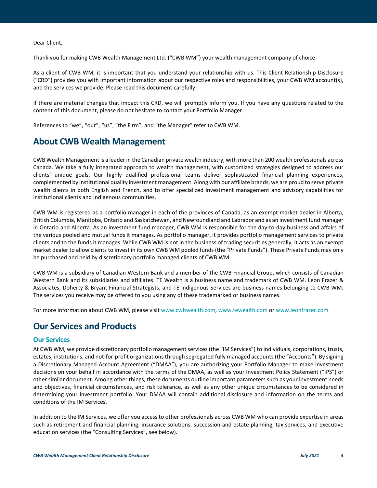Dear Client,

Thank you for making CWB Wealth Management Ltd. ("CWB WM") your wealth management company of choice.

As a client of CWB WM, it is important that you understand your relationship with us. This Client Relationship Disclosure ("CRD") provides you with important information about our respective roles and responsibilities, your CWB WM account(s), and the services we provide. Please read this document carefully.

If there are material changes that impact this CRD, we will promptly inform you. If you have any questions related to the content of this document, please do not hesitate to contact your Portfolio Manager.

<span id="page-3-0"></span>References to "we", "our", "us", "the Firm", and "the Manager" refer to CWB WM.

## **About CWB Wealth Management**

CWB Wealth Management is a leader in the Canadian private wealth industry, with more than 200 wealth professionals across Canada. We take a fully integrated approach to wealth management, with customized strategies designed to address our clients' unique goals. Our highly qualified professional teams deliver sophisticated financial planning experiences, complemented by institutional quality investment management. Along with our affiliate brands, we are proud to serve private wealth clients in both English and French, and to offer specialized investment management and advisory capabilities for institutional clients and Indigenous communities.

CWB WM is registered as a portfolio manager in each of the provinces of Canada, as an exempt market dealer in Alberta, British Columbia, Manitoba, Ontario and Saskatchewan, and Newfoundland and Labrador and as an investment fund manager in Ontario and Alberta. As an investment fund manager, CWB WM is responsible for the day-to-day business and affairs of the various pooled and mutual funds it manages. As portfolio manager, it provides portfolio management services to private clients and to the funds it manages. While CWB WM is not in the business of trading securities generally, it acts as an exempt market dealer to allow clients to invest in its own CWB WM pooled funds (the "Private Funds"). These Private Funds may only be purchased and held by discretionary portfolio managed clients of CWB WM.

CWB WM is a subsidiary of Canadian Western Bank and a member of the CWB Financial Group, which consists of Canadian Western Bank and its subsidiaries and affiliates. TE Wealth is a business name and trademark of CWB WM. Leon Frazer & Associates, Doherty & Bryant Financial Strategists, and TE Indigenous Services are business names belonging to CWB WM. The services you receive may be offered to you using any of these trademarked or business names.

<span id="page-3-1"></span>For more information about CWB WM, please visi[t www.cwbwealth.com,](http://www.cwbwealth.com/) [www.tewealth.com](http://www.tewealth.com/) or [www.leonfrazer.com](http://www.leonfrazer.com/)

# **Our Services and Products**

#### <span id="page-3-2"></span>**Our Services**

At CWB WM, we provide discretionary portfolio management services (the "IM Services") to individuals, corporations, trusts, estates, institutions, and not-for-profit organizations through segregated fully managed accounts (the "Accounts"). By signing a Discretionary Managed Account Agreement ("DMAA"), you are authorizing your Portfolio Manager to make investment decisions on your behalf in accordance with the terms of the DMAA, as well as your Investment Policy Statement ("IPS") or other similar document. Among other things, these documents outline important parameters such as your investment needs and objectives, financial circumstances, and risk tolerance, as well as any other unique circumstances to be considered in determining your investment portfolio. Your DMAA will contain additional disclosure and information on the terms and conditions of the IM Services.

In addition to the IM Services, we offer you access to other professionals across CWB WM who can provide expertise in areas such as retirement and financial planning, insurance solutions, succession and estate planning, tax services, and executive education services (the "Consulting Services", see below).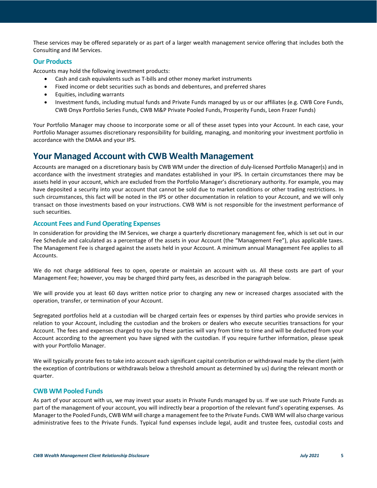These services may be offered separately or as part of a larger wealth management service offering that includes both the Consulting and IM Services.

#### <span id="page-4-0"></span>**Our Products**

Accounts may hold the following investment products:

- Cash and cash equivalents such as T-bills and other money market instruments
- Fixed income or debt securities such as bonds and debentures, and preferred shares
- Equities, including warrants
- Investment funds, including mutual funds and Private Funds managed by us or our affiliates (e.g. CWB Core Funds, CWB Onyx Portfolio Series Funds, CWB M&P Private Pooled Funds, Prosperity Funds, Leon Frazer Funds)

Your Portfolio Manager may choose to incorporate some or all of these asset types into your Account. In each case, your Portfolio Manager assumes discretionary responsibility for building, managing, and monitoring your investment portfolio in accordance with the DMAA and your IPS.

### <span id="page-4-1"></span>**Your Managed Account with CWB Wealth Management**

Accounts are managed on a discretionary basis by CWB WM under the direction of duly-licensed Portfolio Manager(s) and in accordance with the investment strategies and mandates established in your IPS. In certain circumstances there may be assets held in your account, which are excluded from the Portfolio Manager's discretionary authority. For example, you may have deposited a security into your account that cannot be sold due to market conditions or other trading restrictions. In such circumstances, this fact will be noted in the IPS or other documentation in relation to your Account, and we will only transact on those investments based on your instructions. CWB WM is not responsible for the investment performance of such securities.

#### <span id="page-4-2"></span>**Account Fees and Fund Operating Expenses**

In consideration for providing the IM Services, we charge a quarterly discretionary management fee, which is set out in our Fee Schedule and calculated as a percentage of the assets in your Account (the "Management Fee"), plus applicable taxes. The Management Fee is charged against the assets held in your Account. A minimum annual Management Fee applies to all Accounts.

We do not charge additional fees to open, operate or maintain an account with us. All these costs are part of your Management Fee; however, you may be charged third party fees, as described in the paragraph below.

We will provide you at least 60 days written notice prior to charging any new or increased charges associated with the operation, transfer, or termination of your Account.

Segregated portfolios held at a custodian will be charged certain fees or expenses by third parties who provide services in relation to your Account, including the custodian and the brokers or dealers who execute securities transactions for your Account. The fees and expenses charged to you by these parties will vary from time to time and will be deducted from your Account according to the agreement you have signed with the custodian. If you require further information, please speak with your Portfolio Manager.

We will typically prorate fees to take into account each significant capital contribution or withdrawal made by the client (with the exception of contributions or withdrawals below a threshold amount as determined by us) during the relevant month or quarter.

#### <span id="page-4-3"></span>**CWB WM Pooled Funds**

As part of your account with us, we may invest your assets in Private Funds managed by us. If we use such Private Funds as part of the management of your account, you will indirectly bear a proportion of the relevant fund's operating expenses. As Manager to the Pooled Funds, CWB WM will charge a management fee to the Private Funds. CWB WM will also charge various administrative fees to the Private Funds. Typical fund expenses include legal, audit and trustee fees, custodial costs and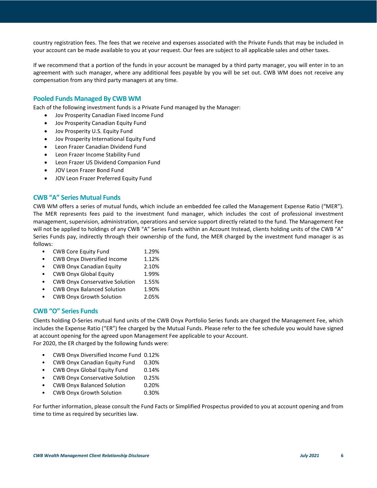country registration fees. The fees that we receive and expenses associated with the Private Funds that may be included in your account can be made available to you at your request. Our fees are subject to all applicable sales and other taxes.

If we recommend that a portion of the funds in your account be managed by a third party manager, you will enter in to an agreement with such manager, where any additional fees payable by you will be set out. CWB WM does not receive any compensation from any third party managers at any time.

#### <span id="page-5-0"></span>**Pooled Funds Managed By CWB WM**

Each of the following investment funds is a Private Fund managed by the Manager:

- Jov Prosperity Canadian Fixed Income Fund
- Jov Prosperity Canadian Equity Fund
- Jov Prosperity U.S. Equity Fund
- Jov Prosperity International Equity Fund
- Leon Frazer Canadian Dividend Fund
- Leon Frazer Income Stability Fund
- Leon Frazer US Dividend Companion Fund
- JOV Leon Frazer Bond Fund
- JOV Leon Frazer Preferred Equity Fund

#### <span id="page-5-1"></span>**CWB "A" Series Mutual Funds**

CWB WM offers a series of mutual funds, which include an embedded fee called the Management Expense Ratio ("MER"). The MER represents fees paid to the investment fund manager, which includes the cost of professional investment management, supervision, administration, operations and service support directly related to the fund. The Management Fee will not be applied to holdings of any CWB "A" Series Funds within an Account Instead, clients holding units of the CWB "A" Series Funds pay, indirectly through their ownership of the fund, the MER charged by the investment fund manager is as follows:

- CWB Core Equity Fund 1.29%
- CWB Onyx Diversified Income 1.12%
- CWB Onyx Canadian Equity 2.10%
- CWB Onyx Global Equity 1.99%
- CWB Onyx Conservative Solution 1.55%
- CWB Onyx Balanced Solution 1.90%
- CWB Onyx Growth Solution 2.05%

#### <span id="page-5-2"></span>**CWB "O" Series Funds**

Clients holding O-Series mutual fund units of the CWB Onyx Portfolio Series funds are charged the Management Fee, which includes the Expense Ratio ("ER") fee charged by the Mutual Funds. Please refer to the fee schedule you would have signed at account opening for the agreed upon Management Fee applicable to your Account. For 2020, the ER charged by the following funds were:

- CWB Onyx Diversified Income Fund 0.12%
- CWB Onyx Canadian Equity Fund 0.30%
- CWB Onyx Global Equity Fund 0.14%
- CWB Onyx Conservative Solution 0.25%
- CWB Onyx Balanced Solution 0.20%
- CWB Onyx Growth Solution 0.30%

For further information, please consult the Fund Facts or Simplified Prospectus provided to you at account opening and from time to time as required by securities law.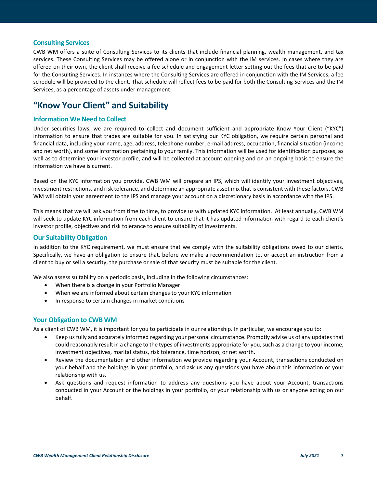#### <span id="page-6-0"></span>**Consulting Services**

CWB WM offers a suite of Consulting Services to its clients that include financial planning, wealth management, and tax services. These Consulting Services may be offered alone or in conjunction with the IM services. In cases where they are offered on their own, the client shall receive a fee schedule and engagement letter setting out the fees that are to be paid for the Consulting Services. In instances where the Consulting Services are offered in conjunction with the IM Services, a fee schedule will be provided to the client. That schedule will reflect fees to be paid for both the Consulting Services and the IM Services, as a percentage of assets under management.

# <span id="page-6-1"></span>**"Know Your Client" and Suitability**

#### <span id="page-6-2"></span>**Information We Need to Collect**

Under securities laws, we are required to collect and document sufficient and appropriate Know Your Client ("KYC") information to ensure that trades are suitable for you. In satisfying our KYC obligation, we require certain personal and financial data, including your name, age, address, telephone number, e-mail address, occupation, financial situation (income and net worth), and some information pertaining to your family. This information will be used for identification purposes, as well as to determine your investor profile, and will be collected at account opening and on an ongoing basis to ensure the information we have is current.

Based on the KYC information you provide, CWB WM will prepare an IPS, which will identify your investment objectives, investment restrictions, and risk tolerance, and determine an appropriate asset mix that is consistent with these factors. CWB WM will obtain your agreement to the IPS and manage your account on a discretionary basis in accordance with the IPS.

This means that we will ask you from time to time, to provide us with updated KYC information. At least annually, CWB WM will seek to update KYC information from each client to ensure that it has updated information with regard to each client's investor profile, objectives and risk tolerance to ensure suitability of investments.

#### <span id="page-6-3"></span>**Our Suitability Obligation**

In addition to the KYC requirement, we must ensure that we comply with the suitability obligations owed to our clients. Specifically, we have an obligation to ensure that, before we make a recommendation to, or accept an instruction from a client to buy or sell a security, the purchase or sale of that security must be suitable for the client.

We also assess suitability on a periodic basis, including in the following circumstances:

- When there is a change in your Portfolio Manager
- When we are informed about certain changes to your KYC information
- In response to certain changes in market conditions

#### <span id="page-6-4"></span>**Your Obligation to CWB WM**

As a client of CWB WM, it is important for you to participate in our relationship. In particular, we encourage you to:

- Keep us fully and accurately informed regarding your personal circumstance. Promptly advise us of any updates that could reasonably result in a change to the types of investments appropriate for you, such as a change to your income, investment objectives, marital status, risk tolerance, time horizon, or net worth.
- Review the documentation and other information we provide regarding your Account, transactions conducted on your behalf and the holdings in your portfolio, and ask us any questions you have about this information or your relationship with us.
- Ask questions and request information to address any questions you have about your Account, transactions conducted in your Account or the holdings in your portfolio, or your relationship with us or anyone acting on our behalf.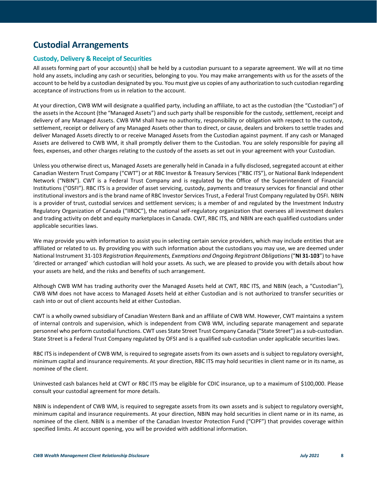# <span id="page-7-0"></span>**Custodial Arrangements**

#### <span id="page-7-1"></span>**Custody, Delivery & Receipt of Securities**

All assets forming part of your account(s) shall be held by a custodian pursuant to a separate agreement. We will at no time hold any assets, including any cash or securities, belonging to you. You may make arrangements with us for the assets of the account to be held by a custodian designated by you. You must give us copies of any authorization to such custodian regarding acceptance of instructions from us in relation to the account.

At your direction, CWB WM will designate a qualified party, including an affiliate, to act as the custodian (the "Custodian") of the assets in the Account (the "Managed Assets") and such party shall be responsible for the custody, settlement, receipt and delivery of any Managed Assets. CWB WM shall have no authority, responsibility or obligation with respect to the custody, settlement, receipt or delivery of any Managed Assets other than to direct, or cause, dealers and brokers to settle trades and deliver Managed Assets directly to or receive Managed Assets from the Custodian against payment. If any cash or Managed Assets are delivered to CWB WM, it shall promptly deliver them to the Custodian. You are solely responsible for paying all fees, expenses, and other charges relating to the custody of the assets as set out in your agreement with your Custodian.

Unless you otherwise direct us, Managed Assets are generally held in Canada in a fully disclosed, segregated account at either Canadian Western Trust Company ("CWT") or at RBC Investor & Treasury Services ("RBC ITS"), or National Bank Independent Network ("NBIN"). CWT is a Federal Trust Company and is regulated by the Office of the Superintendent of Financial Institutions ("OSFI"). RBC ITS is a provider of asset servicing, custody, payments and treasury services for financial and other institutional investors and is the brand name of RBC Investor Services Trust, a Federal Trust Company regulated by OSFI. NBIN is a provider of trust, custodial services and settlement services; is a member of and regulated by the Investment Industry Regulatory Organization of Canada ("IIROC"), the national self-regulatory organization that oversees all investment dealers and trading activity on debt and equity marketplaces in Canada. CWT, RBC ITS, and NBIN are each qualified custodians under applicable securities laws.

We may provide you with information to assist you in selecting certain service providers, which may include entities that are affiliated or related to us. By providing you with such information about the custodians you may use, we are deemed under National Instrument 31-103 *Registration Requirements, Exemptions and Ongoing Registrant Obligations* ("**NI 31-103**") to have 'directed or arranged' which custodian will hold your assets. As such, we are pleased to provide you with details about how your assets are held, and the risks and benefits of such arrangement.

Although CWB WM has trading authority over the Managed Assets held at CWT, RBC ITS, and NBIN (each, a "Custodian"), CWB WM does not have access to Managed Assets held at either Custodian and is not authorized to transfer securities or cash into or out of client accounts held at either Custodian.

CWT is a wholly owned subsidiary of Canadian Western Bank and an affiliate of CWB WM. However, CWT maintains a system of internal controls and supervision, which is independent from CWB WM, including separate management and separate personnel who perform custodial functions. CWT uses State Street Trust Company Canada ("State Street") as a sub-custodian. State Street is a Federal Trust Company regulated by OFSI and is a qualified sub-custodian under applicable securities laws.

RBC ITS is independent of CWB WM, is required to segregate assets from its own assets and is subject to regulatory oversight, minimum capital and insurance requirements. At your direction, RBC ITS may hold securities in client name or in its name, as nominee of the client.

Uninvested cash balances held at CWT or RBC ITS may be eligible for CDIC insurance, up to a maximum of \$100,000. Please consult your custodial agreement for more details.

NBIN is independent of CWB WM, is required to segregate assets from its own assets and is subject to regulatory oversight, minimum capital and insurance requirements. At your direction, NBIN may hold securities in client name or in its name, as nominee of the client. NBIN is a member of the Canadian Investor Protection Fund ("CIPF") that provides coverage within specified limits. At account opening, you will be provided with additional information.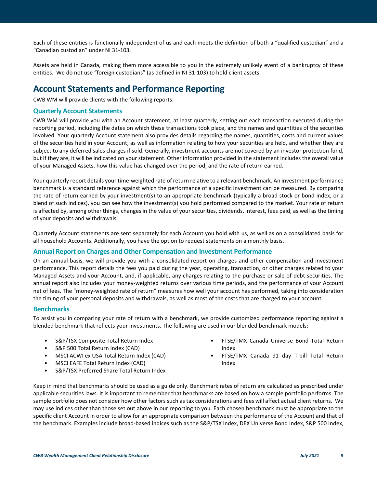Each of these entities is functionally independent of us and each meets the definition of both a "qualified custodian" and a "Canadian custodian" under NI 31-103.

Assets are held in Canada, making them more accessible to you in the extremely unlikely event of a bankruptcy of these entities. We do not use "foreign custodians" (as defined in NI 31-103) to hold client assets.

## <span id="page-8-0"></span>**Account Statements and Performance Reporting**

CWB WM will provide clients with the following reports:

#### <span id="page-8-1"></span>**Quarterly Account Statements**

CWB WM will provide you with an Account statement, at least quarterly, setting out each transaction executed during the reporting period, including the dates on which these transactions took place, and the names and quantities of the securities involved. Your quarterly Account statement also provides details regarding the names, quantities, costs and current values of the securities held in your Account, as well as information relating to how your securities are held, and whether they are subject to any deferred sales charges if sold. Generally, investment accounts are not covered by an investor protection fund, but if they are, it will be indicated on your statement. Other information provided in the statement includes the overall value of your Managed Assets, how this value has changed over the period, and the rate of return earned.

Your quarterly report details your time-weighted rate of return relative to a relevant benchmark. An investment performance benchmark is a standard reference against which the performance of a specific investment can be measured. By comparing the rate of return earned by your investment(s) to an appropriate benchmark (typically a broad stock or bond index, or a blend of such indices), you can see how the investment(s) you hold performed compared to the market. Your rate of return is affected by, among other things, changes in the value of your securities, dividends, interest, fees paid, as well as the timing of your deposits and withdrawals.

Quarterly Account statements are sent separately for each Account you hold with us, as well as on a consolidated basis for all household Accounts. Additionally, you have the option to request statements on a monthly basis.

#### <span id="page-8-2"></span>**Annual Report on Charges and Other Compensation and Investment Performance**

On an annual basis, we will provide you with a consolidated report on charges and other compensation and investment performance. This report details the fees you paid during the year, operating, transaction, or other charges related to your Managed Assets and your Account, and, if applicable, any charges relating to the purchase or sale of debt securities. The annual report also includes your money-weighted returns over various time periods, and the performance of your Account net of fees. The "money-weighted rate of return" measures how well your account has performed, taking into consideration the timing of your personal deposits and withdrawals, as well as most of the costs that are charged to your account.

#### <span id="page-8-3"></span>**Benchmarks**

To assist you in comparing your rate of return with a benchmark, we provide customized performance reporting against a blended benchmark that reflects your investments. The following are used in our blended benchmark models:

- S&P/TSX Composite Total Return Index
- S&P 500 Total Return Index (CAD)
- MSCI ACWI ex USA Total Return Index (CAD)
- MSCI EAFE Total Return Index (CAD)
- S&P/TSX Preferred Share Total Return Index
- FTSE/TMX Canada Universe Bond Total Return Index
- FTSE/TMX Canada 91 day T-bill Total Return Index

Keep in mind that benchmarks should be used as a guide only. Benchmark rates of return are calculated as prescribed under applicable securities laws. It is important to remember that benchmarks are based on how a sample portfolio performs. The sample portfolio does not consider how other factors such as tax considerations and fees will affect actual client returns. We may use indices other than those set out above in our reporting to you. Each chosen benchmark must be appropriate to the specific client Account in order to allow for an appropriate comparison between the performance of the Account and that of the benchmark. Examples include broad-based indices such as the S&P/TSX Index, DEX Universe Bond Index, S&P 500 Index,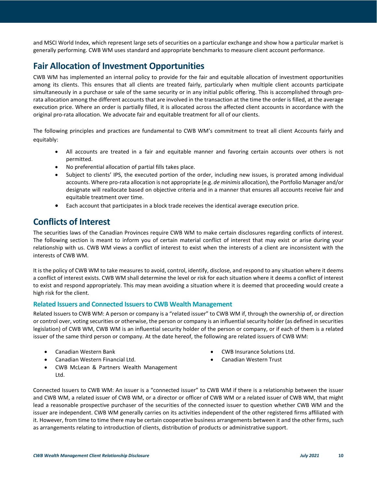and MSCI World Index, which represent large sets of securities on a particular exchange and show how a particular market is generally performing. CWB WM uses standard and appropriate benchmarks to measure client account performance.

# <span id="page-9-0"></span>**Fair Allocation of Investment Opportunities**

CWB WM has implemented an internal policy to provide for the fair and equitable allocation of investment opportunities among its clients. This ensures that all clients are treated fairly, particularly when multiple client accounts participate simultaneously in a purchase or sale of the same security or in any initial public offering. This is accomplished through prorata allocation among the different accounts that are involved in the transaction at the time the order is filled, at the average execution price. Where an order is partially filled, it is allocated across the affected client accounts in accordance with the original pro-rata allocation. We advocate fair and equitable treatment for all of our clients.

The following principles and practices are fundamental to CWB WM's commitment to treat all client Accounts fairly and equitably:

- All accounts are treated in a fair and equitable manner and favoring certain accounts over others is not permitted.
- No preferential allocation of partial fills takes place.
- Subject to clients' IPS, the executed portion of the order, including new issues, is prorated among individual accounts. Where pro-rata allocation is not appropriate (e.g. *de minimis* allocation), the Portfolio Manager and/or designate will reallocate based on objective criteria and in a manner that ensures all accounts receive fair and equitable treatment over time.
- Each account that participates in a block trade receives the identical average execution price.

# <span id="page-9-1"></span>**Conflicts of Interest**

The securities laws of the Canadian Provinces require CWB WM to make certain disclosures regarding conflicts of interest. The following section is meant to inform you of certain material conflict of interest that may exist or arise during your relationship with us. CWB WM views a conflict of interest to exist when the interests of a client are inconsistent with the interests of CWB WM.

It is the policy of CWB WM to take measures to avoid, control, identify, disclose, and respond to any situation where it deems a conflict of interest exists. CWB WM shall determine the level or risk for each situation where it deems a conflict of interest to exist and respond appropriately. This may mean avoiding a situation where it is deemed that proceeding would create a high risk for the client.

#### <span id="page-9-2"></span>**Related Issuers and Connected Issuers to CWB Wealth Management**

Related Issuers to CWB WM: A person or company is a "related issuer" to CWB WM if, through the ownership of, or direction or control over, voting securities or otherwise, the person or company is an influential security holder (as defined in securities legislation) of CWB WM, CWB WM is an influential security holder of the person or company, or if each of them is a related issuer of the same third person or company. At the date hereof, the following are related issuers of CWB WM:

- Canadian Western Bank
- Canadian Western Financial Ltd.
- CWB Insurance Solutions Ltd.
- Canadian Western Trust
- CWB McLean & Partners Wealth Management Ltd.

Connected Issuers to CWB WM: An issuer is a "connected issuer" to CWB WM if there is a relationship between the issuer and CWB WM, a related issuer of CWB WM, or a director or officer of CWB WM or a related issuer of CWB WM, that might lead a reasonable prospective purchaser of the securities of the connected issuer to question whether CWB WM and the issuer are independent. CWB WM generally carries on its activities independent of the other registered firms affiliated with it. However, from time to time there may be certain cooperative business arrangements between it and the other firms, such as arrangements relating to introduction of clients, distribution of products or administrative support.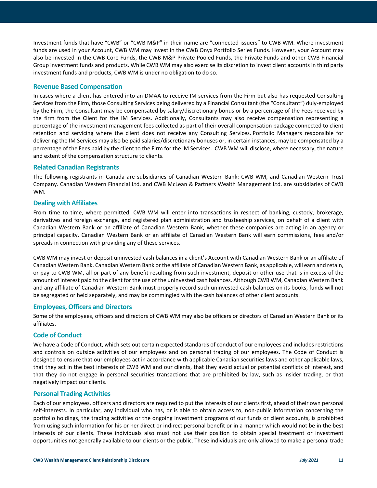Investment funds that have "CWB" or "CWB M&P" in their name are "connected issuers" to CWB WM. Where investment funds are used in your Account, CWB WM may invest in the CWB Onyx Portfolio Series Funds. However, your Account may also be invested in the CWB Core Funds, the CWB M&P Private Pooled Funds, the Private Funds and other CWB Financial Group investment funds and products. While CWB WM may also exercise its discretion to invest client accounts in third party investment funds and products, CWB WM is under no obligation to do so.

#### <span id="page-10-0"></span>**Revenue Based Compensation**

In cases where a client has entered into an DMAA to receive IM services from the Firm but also has requested Consulting Services from the Firm, those Consulting Services being delivered by a Financial Consultant (the "Consultant") duly-employed by the Firm, the Consultant may be compensated by salary/discretionary bonus or by a percentage of the Fees received by the firm from the Client for the IM Services. Additionally, Consultants may also receive compensation representing a percentage of the investment management fees collected as part of their overall compensation package connected to client retention and servicing where the client does not receive any Consulting Services. Portfolio Managers responsible for delivering the IM Services may also be paid salaries/discretionary bonuses or, in certain instances, may be compensated by a percentage of the Fees paid by the client to the Firm for the IM Services. CWB WM will disclose, where necessary, the nature and extent of the compensation structure to clients.

#### <span id="page-10-1"></span>**Related Canadian Registrants**

The following registrants in Canada are subsidiaries of Canadian Western Bank: CWB WM, and Canadian Western Trust Company. Canadian Western Financial Ltd. and CWB McLean & Partners Wealth Management Ltd. are subsidiaries of CWB WM.

#### <span id="page-10-2"></span>**Dealing with Affiliates**

From time to time, where permitted, CWB WM will enter into transactions in respect of banking, custody, brokerage, derivatives and foreign exchange, and registered plan administration and trusteeship services, on behalf of a client with Canadian Western Bank or an affiliate of Canadian Western Bank, whether these companies are acting in an agency or principal capacity. Canadian Western Bank or an affiliate of Canadian Western Bank will earn commissions, fees and/or spreads in connection with providing any of these services.

CWB WM may invest or deposit uninvested cash balances in a client's Account with Canadian Western Bank or an affiliate of Canadian Western Bank. Canadian Western Bank or the affiliate of Canadian Western Bank, as applicable, will earn and retain, or pay to CWB WM, all or part of any benefit resulting from such investment, deposit or other use that is in excess of the amount of interest paid to the client for the use of the uninvested cash balances. Although CWB WM, Canadian Western Bank and any affiliate of Canadian Western Bank must properly record such uninvested cash balances on its books, funds will not be segregated or held separately, and may be commingled with the cash balances of other client accounts.

#### <span id="page-10-3"></span>**Employees, Officers and Directors**

Some of the employees, officers and directors of CWB WM may also be officers or directors of Canadian Western Bank or its affiliates.

#### <span id="page-10-4"></span>**Code of Conduct**

We have a Code of Conduct, which sets out certain expected standards of conduct of our employees and includes restrictions and controls on outside activities of our employees and on personal trading of our employees. The Code of Conduct is designed to ensure that our employees act in accordance with applicable Canadian securities laws and other applicable laws, that they act in the best interests of CWB WM and our clients, that they avoid actual or potential conflicts of interest, and that they do not engage in personal securities transactions that are prohibited by law, such as insider trading, or that negatively impact our clients.

#### <span id="page-10-5"></span>**Personal Trading Activities**

Each of our employees, officers and directors are required to put the interests of our clients first, ahead of their own personal self-interests. In particular, any individual who has, or is able to obtain access to, non-public information concerning the portfolio holdings, the trading activities or the ongoing investment programs of our funds or client accounts, is prohibited from using such information for his or her direct or indirect personal benefit or in a manner which would not be in the best interests of our clients. These individuals also must not use their position to obtain special treatment or investment opportunities not generally available to our clients or the public. These individuals are only allowed to make a personal trade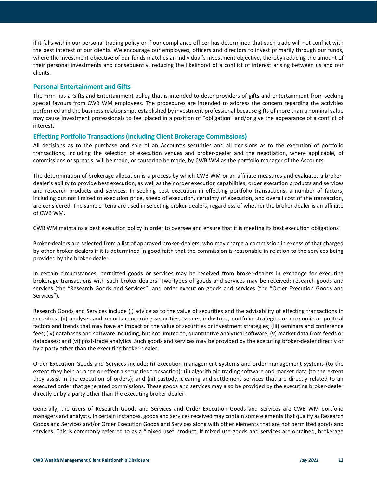if it falls within our personal trading policy or if our compliance officer has determined that such trade will not conflict with the best interest of our clients. We encourage our employees, officers and directors to invest primarily through our funds, where the investment objective of our funds matches an individual's investment objective, thereby reducing the amount of their personal investments and consequently, reducing the likelihood of a conflict of interest arising between us and our clients.

#### <span id="page-11-0"></span>**Personal Entertainment and Gifts**

The Firm has a Gifts and Entertainment policy that is intended to deter providers of gifts and entertainment from seeking special favours from CWB WM employees. The procedures are intended to address the concern regarding the activities performed and the business relationships established by investment professional because gifts of more than a nominal value may cause investment professionals to feel placed in a position of "obligation" and/or give the appearance of a conflict of interest.

#### <span id="page-11-1"></span>**Effecting Portfolio Transactions (including Client Brokerage Commissions)**

All decisions as to the purchase and sale of an Account's securities and all decisions as to the execution of portfolio transactions, including the selection of execution venues and broker-dealer and the negotiation, where applicable, of commissions or spreads, will be made, or caused to be made, by CWB WM as the portfolio manager of the Accounts.

The determination of brokerage allocation is a process by which CWB WM or an affiliate measures and evaluates a brokerdealer's ability to provide best execution, as well as their order execution capabilities, order execution products and services and research products and services. In seeking best execution in effecting portfolio transactions, a number of factors, including but not limited to execution price, speed of execution, certainty of execution, and overall cost of the transaction, are considered. The same criteria are used in selecting broker-dealers, regardless of whether the broker-dealer is an affiliate of CWB WM.

CWB WM maintains a best execution policy in order to oversee and ensure that it is meeting its best execution obligations

Broker-dealers are selected from a list of approved broker-dealers, who may charge a commission in excess of that charged by other broker-dealers if it is determined in good faith that the commission is reasonable in relation to the services being provided by the broker-dealer.

In certain circumstances, permitted goods or services may be received from broker-dealers in exchange for executing brokerage transactions with such broker-dealers. Two types of goods and services may be received: research goods and services (the "Research Goods and Services") and order execution goods and services (the "Order Execution Goods and Services").

Research Goods and Services include (i) advice as to the value of securities and the advisability of effecting transactions in securities; (ii) analyses and reports concerning securities, issuers, industries, portfolio strategies or economic or political factors and trends that may have an impact on the value of securities or investment strategies; (iii) seminars and conference fees; (iv) databases and software including, but not limited to, quantitative analytical software; (v) market data from feeds or databases; and (vi) post-trade analytics. Such goods and services may be provided by the executing broker-dealer directly or by a party other than the executing broker-dealer.

Order Execution Goods and Services include: (i) execution management systems and order management systems (to the extent they help arrange or effect a securities transaction); (ii) algorithmic trading software and market data (to the extent they assist in the execution of orders); and (iii) custody, clearing and settlement services that are directly related to an executed order that generated commissions. These goods and services may also be provided by the executing broker-dealer directly or by a party other than the executing broker-dealer.

Generally, the users of Research Goods and Services and Order Execution Goods and Services are CWB WM portfolio managers and analysts. In certain instances, goods and services received may contain some elements that qualify as Research Goods and Services and/or Order Execution Goods and Services along with other elements that are not permitted goods and services. This is commonly referred to as a "mixed use" product. If mixed use goods and services are obtained, brokerage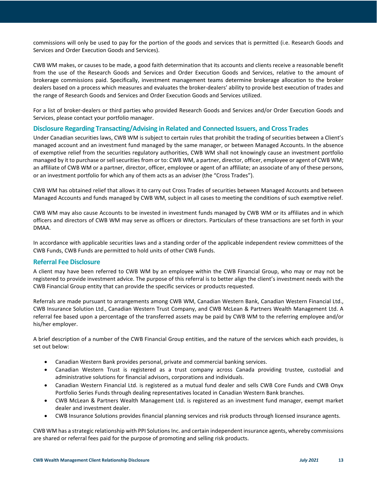commissions will only be used to pay for the portion of the goods and services that is permitted (i.e. Research Goods and Services and Order Execution Goods and Services).

CWB WM makes, or causes to be made, a good faith determination that its accounts and clients receive a reasonable benefit from the use of the Research Goods and Services and Order Execution Goods and Services, relative to the amount of brokerage commissions paid. Specifically, investment management teams determine brokerage allocation to the broker dealers based on a process which measures and evaluates the broker-dealers' ability to provide best execution of trades and the range of Research Goods and Services and Order Execution Goods and Services utilized.

For a list of broker-dealers or third parties who provided Research Goods and Services and/or Order Execution Goods and Services, please contact your portfolio manager.

#### <span id="page-12-0"></span>**Disclosure Regarding Transacting/Advising in Related and Connected Issuers, and Cross Trades**

Under Canadian securities laws, CWB WM is subject to certain rules that prohibit the trading of securities between a Client's managed account and an investment fund managed by the same manager, or between Managed Accounts. In the absence of exemptive relief from the securities regulatory authorities, CWB WM shall not knowingly cause an investment portfolio managed by it to purchase or sell securities from or to: CWB WM, a partner, director, officer, employee or agent of CWB WM; an affiliate of CWB WM or a partner, director, officer, employee or agent of an affiliate; an associate of any of these persons, or an investment portfolio for which any of them acts as an adviser (the "Cross Trades").

CWB WM has obtained relief that allows it to carry out Cross Trades of securities between Managed Accounts and between Managed Accounts and funds managed by CWB WM, subject in all cases to meeting the conditions of such exemptive relief.

CWB WM may also cause Accounts to be invested in investment funds managed by CWB WM or its affiliates and in which officers and directors of CWB WM may serve as officers or directors. Particulars of these transactions are set forth in your DMAA.

In accordance with applicable securities laws and a standing order of the applicable independent review committees of the CWB Funds, CWB Funds are permitted to hold units of other CWB Funds.

#### <span id="page-12-1"></span>**Referral Fee Disclosure**

A client may have been referred to CWB WM by an employee within the CWB Financial Group, who may or may not be registered to provide investment advice. The purpose of this referral is to better align the client's investment needs with the CWB Financial Group entity that can provide the specific services or products requested.

Referrals are made pursuant to arrangements among CWB WM, Canadian Western Bank, Canadian Western Financial Ltd., CWB Insurance Solution Ltd., Canadian Western Trust Company, and CWB McLean & Partners Wealth Management Ltd. A referral fee based upon a percentage of the transferred assets may be paid by CWB WM to the referring employee and/or his/her employer.

A brief description of a number of the CWB Financial Group entities, and the nature of the services which each provides, is set out below:

- Canadian Western Bank provides personal, private and commercial banking services.
- Canadian Western Trust is registered as a trust company across Canada providing trustee, custodial and administrative solutions for financial advisors, corporations and individuals.
- Canadian Western Financial Ltd. is registered as a mutual fund dealer and sells CWB Core Funds and CWB Onyx Portfolio Series Funds through dealing representatives located in Canadian Western Bank branches.
- CWB McLean & Partners Wealth Management Ltd. is registered as an investment fund manager, exempt market dealer and investment dealer.
- CWB Insurance Solutions provides financial planning services and risk products through licensed insurance agents.

CWB WM has a strategic relationship with PPI Solutions Inc. and certain independent insurance agents, whereby commissions are shared or referral fees paid for the purpose of promoting and selling risk products.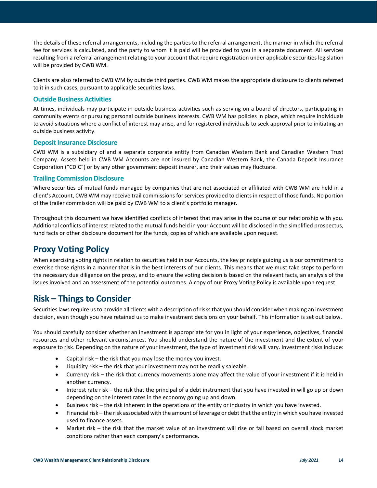The details of these referral arrangements, including the parties to the referral arrangement, the manner in which the referral fee for services is calculated, and the party to whom it is paid will be provided to you in a separate document. All services resulting from a referral arrangement relating to your account that require registration under applicable securities legislation will be provided by CWB WM.

Clients are also referred to CWB WM by outside third parties. CWB WM makes the appropriate disclosure to clients referred to it in such cases, pursuant to applicable securities laws.

#### <span id="page-13-0"></span>**Outside Business Activities**

At times, individuals may participate in outside business activities such as serving on a board of directors, participating in community events or pursuing personal outside business interests. CWB WM has policies in place, which require individuals to avoid situations where a conflict of interest may arise, and for registered individuals to seek approval prior to initiating an outside business activity.

#### <span id="page-13-1"></span>**Deposit Insurance Disclosure**

CWB WM is a subsidiary of and a separate corporate entity from Canadian Western Bank and Canadian Western Trust Company. Assets held in CWB WM Accounts are not insured by Canadian Western Bank, the Canada Deposit Insurance Corporation ("CDIC") or by any other government deposit insurer, and their values may fluctuate.

#### <span id="page-13-2"></span>**Trailing Commission Disclosure**

Where securities of mutual funds managed by companies that are not associated or affiliated with CWB WM are held in a client's Account, CWB WM may receive trail commissions for services provided to clients in respect of those funds. No portion of the trailer commission will be paid by CWB WM to a client's portfolio manager.

Throughout this document we have identified conflicts of interest that may arise in the course of our relationship with you. Additional conflicts of interest related to the mutual funds held in your Account will be disclosed in the simplified prospectus, fund facts or other disclosure document for the funds, copies of which are available upon request.

## <span id="page-13-3"></span>**Proxy Voting Policy**

When exercising voting rights in relation to securities held in our Accounts, the key principle guiding us is our commitment to exercise those rights in a manner that is in the best interests of our clients. This means that we must take steps to perform the necessary due diligence on the proxy, and to ensure the voting decision is based on the relevant facts, an analysis of the issues involved and an assessment of the potential outcomes. A copy of our Proxy Voting Policy is available upon request.

## <span id="page-13-4"></span>**Risk – Things to Consider**

Securities laws require us to provide all clients with a description of risks that you should consider when making an investment decision, even though you have retained us to make investment decisions on your behalf. This information is set out below.

You should carefully consider whether an investment is appropriate for you in light of your experience, objectives, financial resources and other relevant circumstances. You should understand the nature of the investment and the extent of your exposure to risk. Depending on the nature of your investment, the type of investment risk will vary. Investment risks include:

- Capital risk the risk that you may lose the money you invest.
- Liquidity risk the risk that your investment may not be readily saleable.
- Currency risk the risk that currency movements alone may affect the value of your investment if it is held in another currency.
- Interest rate risk the risk that the principal of a debt instrument that you have invested in will go up or down depending on the interest rates in the economy going up and down.
- Business risk the risk inherent in the operations of the entity or industry in which you have invested.
- Financial risk the risk associated with the amount of leverage or debt that the entity in which you have invested used to finance assets.
- Market risk the risk that the market value of an investment will rise or fall based on overall stock market conditions rather than each company's performance.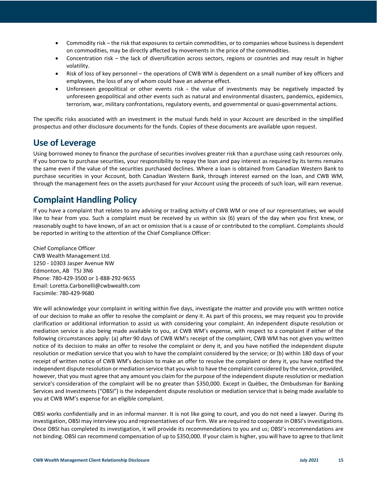- Commodity risk the risk that exposures to certain commodities, or to companies whose business is dependent on commodities, may be directly affected by movements in the price of the commodities.
- Concentration risk the lack of diversification across sectors, regions or countries and may result in higher volatility.
- Risk of loss of key personnel the operations of CWB WM is dependent on a small number of key officers and employees, the loss of any of whom could have an adverse effect.
- Unforeseen geopolitical or other events risk **-** the value of investments may be negatively impacted by unforeseen geopolitical and other events such as natural and environmental disasters, pandemics, epidemics, terrorism, war, military confrontations, regulatory events, and governmental or quasi-governmental actions.

The specific risks associated with an investment in the mutual funds held in your Account are described in the simplified prospectus and other disclosure documents for the funds. Copies of these documents are available upon request.

# <span id="page-14-0"></span>**Use of Leverage**

Using borrowed money to finance the purchase of securities involves greater risk than a purchase using cash resources only. If you borrow to purchase securities, your responsibility to repay the loan and pay interest as required by its terms remains the same even if the value of the securities purchased declines. Where a loan is obtained from Canadian Western Bank to purchase securities in your Account, both Canadian Western Bank, through interest earned on the loan, and CWB WM, through the management fees on the assets purchased for your Account using the proceeds of such loan, will earn revenue.

# <span id="page-14-1"></span>**Complaint Handling Policy**

If you have a complaint that relates to any advising or trading activity of CWB WM or one of our representatives, we would like to hear from you. Such a complaint must be received by us within six (6) years of the day when you first knew, or reasonably ought to have known, of an act or omission that is a cause of or contributed to the compliant. Complaints should be reported in writing to the attention of the Chief Compliance Officer:

Chief Compliance Officer CWB Wealth Management Ltd. 1250 - 10303 Jasper Avenue NW Edmonton, AB T5J 3N6 Phone: 780-429-3500 or 1-888-292-9655 Email: Loretta.Carbonelli@cwbwealth.com Facsimile: 780-429-9680

We will acknowledge your complaint in writing within five days, investigate the matter and provide you with written notice of our decision to make an offer to resolve the complaint or deny it. As part of this process, we may request you to provide clarification or additional information to assist us with considering your complaint. An independent dispute resolution or mediation service is also being made available to you, at CWB WM's expense, with respect to a complaint if either of the following circumstances apply: (a) after 90 days of CWB WM's receipt of the complaint, CWB WM has not given you written notice of its decision to make an offer to resolve the complaint or deny it, and you have notified the independent dispute resolution or mediation service that you wish to have the complaint considered by the service; or (b) within 180 days of your receipt of written notice of CWB WM's decision to make an offer to resolve the complaint or deny it, you have notified the independent dispute resolution or mediation service that you wish to have the complaint considered by the service, provided, however, that you must agree that any amount you claim for the purpose of the independent dispute resolution or mediation service's consideration of the complaint will be no greater than \$350,000. Except in Québec, the Ombudsman for Banking Services and Investments ("OBSI") is the independent dispute resolution or mediation service that is being made available to you at CWB WM's expense for an eligible complaint.

OBSI works confidentially and in an informal manner. It is not like going to court, and you do not need a lawyer. During its investigation, OBSI may interview you and representatives of our firm. We are required to cooperate in OBSI's investigations. Once OBSI has completed its investigation, it will provide its recommendations to you and us; OBSI's recommendations are not binding. OBSI can recommend compensation of up to \$350,000. If your claim is higher, you will have to agree to that limit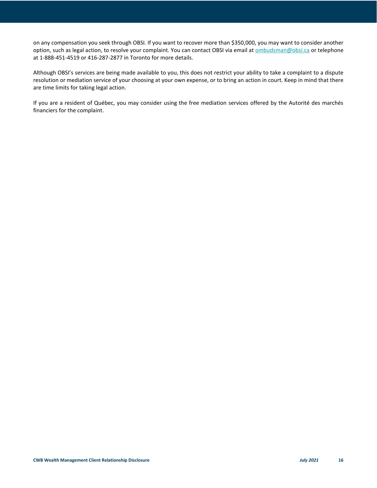on any compensation you seek through OBSI. If you want to recover more than \$350,000, you may want to consider another option, such as legal action, to resolve your complaint. You can contact OBSI via email at ombudsman@obsi.ca or telephone at 1-888-451-4519 or 416-287-2877 in Toronto for more details.

Although OBSI's services are being made available to you, this does not restrict your ability to take a complaint to a dispute resolution or mediation service of your choosing at your own expense, or to bring an action in court. Keep in mind that there are time limits for taking legal action.

If you are a resident of Québec, you may consider using the free mediation services offered by the Autorité des marchés financiers for the complaint.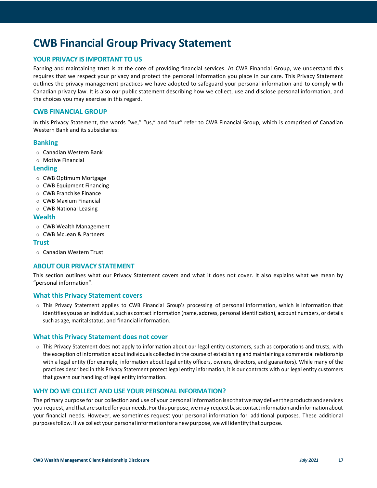# <span id="page-16-0"></span>**CWB Financial Group Privacy Statement**

#### <span id="page-16-1"></span>**YOUR PRIVACY IS IMPORTANT TO US**

Earning and maintaining trust is at the core of providing financial services. At CWB Financial Group, we understand this requires that we respect your privacy and protect the personal information you place in our care. This Privacy Statement outlines the privacy management practices we have adopted to safeguard your personal information and to comply with Canadian privacy law. It is also our public statement describing how we collect, use and disclose personal information, and the choices you may exercise in this regard.

#### **CWB FINANCIAL GROUP**

In this Privacy Statement, the words "we," "us," and "our" refer to CWB Financial Group, which is comprised of Canadian Western Bank and its subsidiaries:

#### **Banking**

- <sup>o</sup> Canadian Western Bank
- <sup>o</sup> Motive Financial

#### **Lending**

- <sup>o</sup> CWB Optimum Mortgage
- <sup>o</sup> CWB Equipment Financing
- <sup>o</sup> CWB Franchise Finance
- <sup>o</sup> CWB Maxium Financial
- <sup>o</sup> CWB National Leasing

#### **Wealth**

- <sup>o</sup> CWB Wealth Management
- <sup>o</sup> CWB McLean & Partners

#### **Trust**

<sup>o</sup> Canadian Western Trust

#### <span id="page-16-2"></span>**ABOUT OUR PRIVACY STATEMENT**

This section outlines what our Privacy Statement covers and what it does not cover. It also explains what we mean by "personal information".

#### **What this Privacy Statement covers**

<sup>o</sup> This Privacy Statement applies to CWB Financial Group's processing of personal information, which is information that identifies you as an individual, such as contact information (name, address, personal identification), account numbers, or details such as age, marital status, and financial information.

#### **What this Privacy Statement does not cover**

o This Privacy Statement does not apply to information about our legal entity customers, such as corporations and trusts, with the exception of information about individuals collected in the course of establishing and maintaining a commercial relationship with a legal entity (for example, information about legal entity officers, owners, directors, and guarantors). While many of the practices described in this Privacy Statement protect legal entity information, it is our contracts with our legal entity customers that govern our handling of legal entity information.

#### <span id="page-16-3"></span>**WHY DO WE COLLECT AND USE YOUR PERSONAL INFORMATION?**

The primary purpose for our collection and use of your personal informationissothatwemaydelivertheproductsandservices you request,andthataresuitedfor yourneeds. Forthispurpose,wemay request basic contactinformation and information about your financial needs. However, we sometimes request your personal information for additional purposes. These additional purposes follow. If we collect your personal information for a new purpose, we will identify that purpose.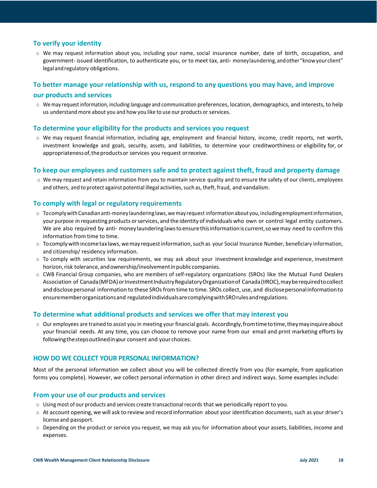#### **To verify your identity**

<sup>o</sup> We may request information about you, including your name, social insurance number, date of birth, occupation, and government- issued identification, to authenticate you, or to meet tax, anti- moneylaundering, andother"knowyourclient" legal andregulatory obligations.

#### **To better manage your relationship with us, respond to any questions you may have, and improve**

#### **our products and services**

<sup>o</sup> We may request information, including language and communication preferences, location, demographics, and interests, to help us understand more about you and how you like to use our products or services.

#### **To determine your eligibility for the products and services you request**

o We may request financial information, including age, employment and financial history, income, credit reports, net worth, investment knowledge and goals, security, assets, and liabilities, to determine your creditworthiness or eligibility for, or appropriateness of, the products or services you request or receive.

#### **To keep our employees and customers safe and to protect against theft, fraud and property damage**

o We may request and retain information from you to maintain service quality and to ensure the safety of our clients, employees and others, and to protect against potential illegal activities, such as, theft, fraud, and vandalism.

#### **To comply with legal or regulatory requirements**

- $\circ$  Tocomply with Canadian anti-money laundering laws, we may request information about you, including employment information, your purpose in requesting products orservices, and the identity ofindividuals who own or control legal entity customers. We are also required by anti- money laundering laws to ensure this information is current, so we may need to confirm this information from time to time.
- $\circ$  Tocomply with income tax laws, we may request information, such as your Social Insurance Number, beneficiary information, and citizenship/ residency information.
- <sup>o</sup> To comply with securities law requirements, we may ask about your investment knowledge and experience, investment horizon, risk tolerance, and ownership/involvement in public companies.
- <sup>o</sup> CWB Financial Group companies, who are members of self-regulatory organizations (SROs) like the Mutual Fund Dealers Association of Canada(MFDA)orInvestmentIndustryRegulatoryOrganizationof Canada(IIROC),mayberequiredtocollect and disclose personal information to these SROs from time to time. SROs collect, use, and disclose personal information to ensurememberorganizationsand regulatedindividualsarecomplyingwithSROrulesandregulations.

#### **To determine what additional products and services we offer that may interest you**

 $\circ$  Our employees are trained to assist you in meeting your financial goals. Accordingly, from time to time, they may inquire about your financial needs. At any time, you can choose to remove your name from our email and print marketing efforts by followingthestepsoutlinedinyour consent and your choices.

#### <span id="page-17-0"></span>**HOW DO WE COLLECT YOUR PERSONAL INFORMATION?**

Most of the personal information we collect about you will be collected directly from you (for example, from application forms you complete). However, we collect personal information in other direct and indirect ways. Some examples include:

#### **From your use of our products and services**

- <sup>o</sup> Using most of our products and services create transactionalrecords that we periodically report to you.
- <sup>o</sup> At account opening, we will ask to review and record information about your identification documents, such as your driver's license and passport.
- <sup>o</sup> Depending on the product or service you request, we may ask you for information about your assets, liabilities, income and expenses.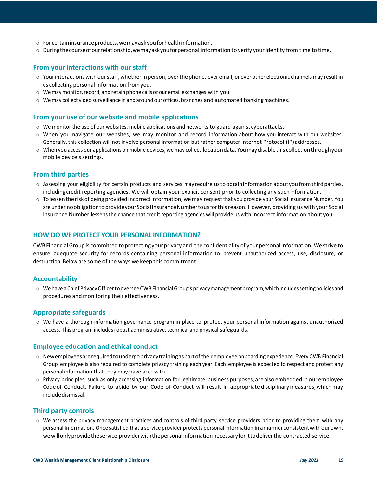- $\circ$  For certain insurance products, we may ask you for health information.
- <sup>o</sup> Duringthecourseofourrelationship,wemayaskyouforpersonal information to verify your identity from time to time.

#### **From your interactions with our staff**

- <sup>o</sup> Yourinteractionswith ourstaff,whetherin person, overthephone, over email, or over other electronic channels may result in us collecting personal information fromyou.
- $\circ$  We may monitor, record, and retain phone calls or our email exchanges with you.
- $\circ$  We may collect video surveillance in and around our offices, branches and automated banking machines.

#### **From your use of our website and mobile applications**

- <sup>o</sup> We monitor the use of our websites, mobile applications and networks to guard against cyberattacks.
- <sup>o</sup> When you navigate our websites, we may monitor and record information about how you interact with our websites. Generally, this collection will not involve personal information but rather computer Internet Protocol (IP)addresses.
- <sup>o</sup> When you access our applications on mobile devices, we may collect locationdata.Youmaydisablethiscollectionthroughyour mobile device's settings.

#### **From third parties**

- $\circ$  Assessing your eligibility for certain products and services may require usto obtain information about you from third parties, includingcredit reporting agencies. We will obtain your explicit consent prior to collecting any suchinformation.
- <sup>o</sup> Tolessenthe riskofbeingprovidedincorrectinformation,wemay request that you provide your Social Insurance Number. You are under no obligation to provide your Social Insurance Number to us for this reason. However, providing us with your Social Insurance Number lessensthe chance that credit reporting agencies will provide us with incorrect information aboutyou.

#### <span id="page-18-0"></span>**HOW DO WE PROTECT YOUR PERSONAL INFORMATION?**

CWB FinancialGroup is committed to protecting your privacy and the confidentiality of your personal information. We strive to ensure adequate security for records containing personal information to prevent unauthorized access, use, disclosure, or destruction. Below are some of the ways we keep this commitment:

#### **Accountability**

o Wehave a Chief PrivacyOfficerto oversee CWB FinancialGroup's privacymanagementprogram,whichincludessettingpoliciesand procedures and monitoring their effectiveness.

#### **Appropriate safeguards**

<sup>o</sup> We have a thorough information governance program in place to protect your personal information against unauthorized access. This program includes robust administrative, technical and physical safeguards.

#### **Employee education and ethical conduct**

- <sup>o</sup> Newemployeesarerequiredtoundergoprivacytrainingaspartof their employee onboarding experience. Every CWB Financial Group employee is also required to complete privacy training each year. Each employee is expected to respect and protect any personalinformation that they may have access to.
- <sup>o</sup> Privacy principles, such as only accessing information for legitimate business purposes, are also embedded in our employee Code of Conduct. Failure to abide by our Code of Conduct will result in appropriate disciplinarymeasures, whichmay includedismissal.

#### **Third party controls**

o We assess the privacy management practices and controls of third party service providers prior to providing them with any personal information. Once satisfied that a service provider protects personal information inamannerconsistentwithourown, wewillonlyprovidetheservice providerwiththepersonalinformationnecessaryforittodeliverthe contracted service.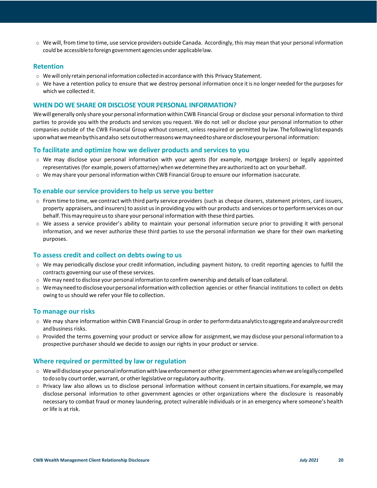$\circ$  We will, from time to time, use service providers outside Canada. Accordingly, this may mean that your personal information could be accessibleto foreign government agencies under applicablelaw.

#### **Retention**

- $\circ$  We will only retain personal information collected in accordance with this Privacy Statement.
- <sup>o</sup> We have a retention policy to ensure that we destroy personal information once it is no longer needed for the purposes for which we collected it.

#### <span id="page-19-0"></span>**WHEN DO WE SHARE OR DISCLOSE YOUR PERSONAL INFORMATION?**

Wewill generally only share your personal information within CWB Financial Group or disclose your personal information to third parties to provide you with the products and services you request. We do not sell or disclose your personal information to other companies outside of the CWB Financial Group without consent, unless required or permitted by law. The following list expands uponwhatwemeanbythisandalso setsoutotherreasonswemayneedtoshareordiscloseyourpersonal information:

#### **To facilitate and optimize how we deliver products and services to you**

- <sup>o</sup> We may disclose your personal information with your agents (for example, mortgage brokers) or legally appointed representatives (for example, powers of attorney) when we determine they are authorized to act on your behalf.
- <sup>o</sup> We may share your personal information within CWB Financial Group to ensure our information isaccurate.

#### **To enable our service providers to help us serve you better**

- $\circ$  From time to time, we contract with third party service providers (such as cheque clearers, statement printers, card issuers, property appraisers, and insurers) to assist us in providing you with our products and services or to perform services on our behalf.Thismayrequireusto share your personal information with these third parties.
- <sup>o</sup> We assess a service provider's ability to maintain your personal information secure prior to providing it with personal information, and we never authorize these third parties to use the personal information we share for their own marketing purposes.

#### **To assess credit and collect on debts owing to us**

- <sup>o</sup> We may periodically disclose your credit information, including payment history, to credit reporting agencies to fulfill the contracts governing our use of these services.
- <sup>o</sup> We may need to disclose your personal information to confirm ownership and details of loan collateral.
- <sup>o</sup> Wemayneedtodisclose yourpersonalinformationwithcollection agencies or other financial institutions to collect on debts owing to us should we refer your file to collection.

#### **To manage our risks**

- <sup>o</sup> We may share information within CWB Financial Group in order to performdataanalyticstoaggregateandanalyzeourcredit andbusiness risks.
- $\circ$  Provided the terms governing your product or service allow for assignment, we may disclose your personal information to a prospective purchaser should we decide to assign our rights in your product or service.

#### **Where required or permitted by law or regulation**

- <sup>o</sup> Wewilldiscloseyourpersonal informationwithlawenforcementor other governmentagencieswhenwearelegallycompelled todosoby court order,warrant, or otherlegislative orregulatory authority.
- <sup>o</sup> Privacy law also allows us to disclose personal information without consentin certain situations. For example, we may disclose personal information to other government agencies or other organizations where the disclosure is reasonably necessary to combat fraud or money laundering, protect vulnerable individuals or in an emergency where someone's health or life is at risk.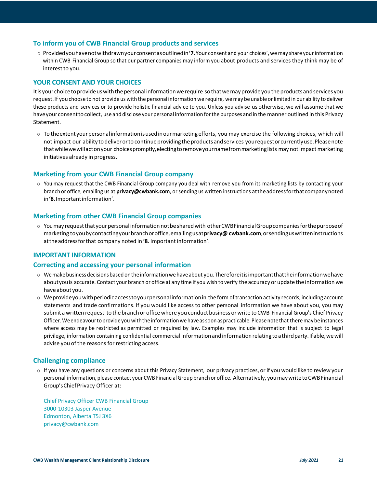#### **To inform you of CWB Financial Group products and services**

<sup>o</sup> Providedyouhavenotwithdrawnyourconsentasoutlinedin**'7**.Your consent and your choices', we may share yourinformation within CWB Financial Group so that our partner companies may inform you about products and services they think may be of interest to you.

#### <span id="page-20-0"></span>**YOUR CONSENT AND YOUR CHOICES**

It is your choice to provide us with the personal information we require so that we may provide you the products and services you request.If you choose to not provide us with the personal information we require, we may be unable orlimited in our ability to deliver these products and services or to provide holistic financial advice to you. Unless you advise us otherwise, we will assume that we haveyourconsenttocollect, use and disclose your personal information forthe purposes and in the manner outlined in this Privacy Statement.

<sup>o</sup> To theextentyourpersonalinformationisusedinourmarketingefforts, you may exercise the following choices, which will not impact our ability to deliver or to continue providing the products and services you request or currently use. Please note that while we will act on your choices promptly, electing to remove your name from marketing lists may not impact marketing initiatives already in progress.

#### **Marketing from your CWB Financial Group company**

o You may request that the CWB Financial Group company you deal with remove you from its marketing lists by contacting your branch or office, emailing us at **[privacy@cwbank.com](mailto:privacy@cwbank.com)**, or sending us written instructions attheaddressforthatcompanynoted in**'8**.Importantinformation'.

#### **Marketing from other CWB Financial Group companies**

<sup>o</sup> Youmay requestthatyourpersonal informationnotbesharedwith otherCWBFinancialGroupcompaniesforthepurposeof marketing toyoubycontactingyourbranchoroffice,emailingusat**privacy@ cwbank.com**,orsendinguswritteninstructions attheaddressforthat company noted in **'8**. Important information'.

#### <span id="page-20-1"></span>**IMPORTANT INFORMATION**

#### **Correcting and accessing your personal information**

- <sup>o</sup> Wemake business decisionsbased ontheinformationwe have about you.Thereforeitisimportantthattheinformationwehave aboutyouis accurate. Contact your branch or office at any time if you wish to verify the accuracy or update the information we have about you.
- $\circ$  Weprovide you with periodicaccess to your personal information in the form of transaction activity records, including account statements and trade confirmations. If you would like access to other personal information we have about you, you may submit a written request to the branch or officewhere you conduct business orwrite to CWB Financial Group's Chief Privacy Officer. We endeavour to provide you with the information we have as soon as practicable. Please note that there may be instances where access may be restricted as permitted or required by law. Examples may include information that is subject to legal privilege, information containing confidential commercial information and information relating to a third party. If able, we will advise you of the reasons for restricting access.

#### **Challenging compliance**

<sup>o</sup> If you have any questions or concerns about this Privacy Statement, our privacy practices, orif you would like to review your personal information, please contact your CWB Financial Group branch or office. Alternatively, youmaywritetoCWBFinancial Group'sChiefPrivacy Officer at:

Chief Privacy Officer CWB Financial Group 3000-10303 Jasper Avenue Edmonton, Alberta T5J 3X6 [privacy@cwbank.com](mailto:privacy@cwbank.com)